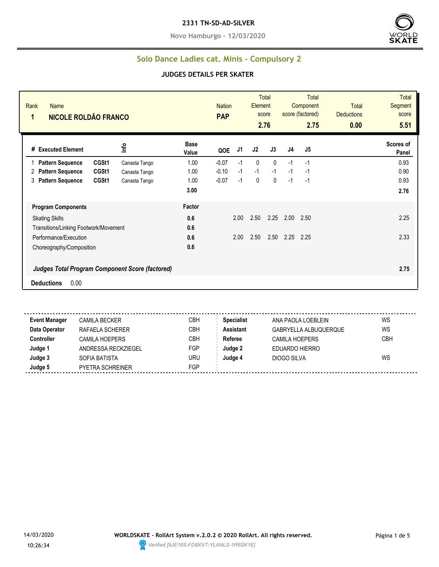**Novo Hamburgo - 12/03/2020**



### **Solo Dance Ladies cat. Minis - Compulsory 2**

#### **JUDGES DETAILS PER SKATER**

| Rank<br><b>Name</b><br><b>NICOLE ROLDÃO FRANCO</b><br>1 |       |               |                      | <b>PAP</b> | <b>Nation</b> |              | Total<br>Element<br>score<br>2.76 |      | <b>Total</b><br>Component<br>score (factored)<br>2.75 | <b>Total</b><br><b>Deductions</b><br>0.00 | <b>Total</b><br>Segment<br>score<br>5.51 |
|---------------------------------------------------------|-------|---------------|----------------------|------------|---------------|--------------|-----------------------------------|------|-------------------------------------------------------|-------------------------------------------|------------------------------------------|
| # Executed Element                                      |       | ١۴            | <b>Base</b><br>Value | QOE        | J1            | J2           | J3                                | J4   | J5                                                    |                                           | Scores of<br>Panel                       |
| <b>Pattern Sequence</b>                                 | CGSt1 | Canasta Tango | 1.00                 | $-0.07$    | $-1$          | $\mathbf{0}$ | $\mathbf{0}$                      | $-1$ | $-1$                                                  |                                           | 0.93                                     |
| <b>Pattern Sequence</b><br>2                            | CGSt1 | Canasta Tango | 1.00                 | $-0.10$    | $-1$          | $-1$         | $-1$                              | $-1$ | $-1$                                                  |                                           | 0.90                                     |
| <b>Pattern Sequence</b><br>3                            | CGSt1 | Canasta Tango | 1.00                 | $-0.07$    | $-1$          | $\mathbf 0$  | 0                                 | $-1$ | $-1$                                                  |                                           | 0.93                                     |
|                                                         |       |               | 3.00                 |            |               |              |                                   |      |                                                       |                                           | 2.76                                     |
| <b>Program Components</b>                               |       |               | Factor               |            |               |              |                                   |      |                                                       |                                           |                                          |
| <b>Skating Skills</b>                                   |       |               | 0.6                  |            | 2.00          | 2.50         | 2.25                              | 2.00 | 2.50                                                  |                                           | 2.25                                     |
| Transitions/Linking Footwork/Movement                   |       |               | 0.6                  |            |               |              |                                   |      |                                                       |                                           |                                          |
| Performance/Execution                                   |       |               | 0.6                  |            | 2.00          | 2.50         | 2.50                              | 2.25 | 2.25                                                  |                                           | 2.33                                     |
| Choreography/Composition                                |       |               | 0.6                  |            |               |              |                                   |      |                                                       |                                           |                                          |
| <b>Judges Total Program Component Score (factored)</b>  |       |               |                      |            |               |              |                                   |      |                                                       |                                           | 2.75                                     |
| 0.00<br><b>Deductions</b>                               |       |               |                      |            |               |              |                                   |      |                                                       |                                           |                                          |

 $\sim$   $\sim$   $\sim$ **Event Manager** CAMILA BECKER CBH **Specialist** ANA PAOLA LOEBLEIN WS **Data Operator** RAFAELA SCHERER CBH **Assistant** GABRYELLA ALBUQUERQUE WS **Controller** CAMILA HOEPERS CBH **Referee** CAMILA HOEPERS CBH **Judge 1** ANDRESSA RECKZIEGEL FGP **Judge 2** EDUARDO HIERRO **Judge 3** SOFIA BATISTA URU **Judge 4** DIOGO SILVA WS **Judge 5** PYETRA SCHREINER FGP

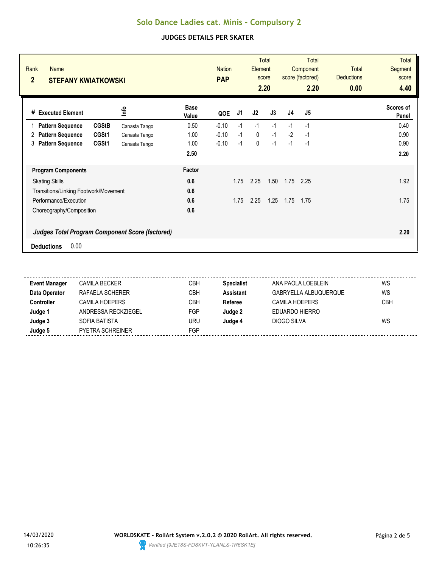| Rank<br><b>Name</b><br>$\overline{2}$<br><b>STEFANY KWIATKOWSKI</b> |               |                      | <b>Nation</b><br><b>PAP</b> |      |      | <b>Total</b><br>Element<br>score<br>2.20 |                | <b>Total</b><br>Component<br>score (factored)<br>2.20 | <b>Total</b><br><b>Deductions</b><br>0.00 | <b>Total</b><br>Segment<br>score<br>4.40 |
|---------------------------------------------------------------------|---------------|----------------------|-----------------------------|------|------|------------------------------------------|----------------|-------------------------------------------------------|-------------------------------------------|------------------------------------------|
| <b>Executed Element</b><br>#                                        | ٩ų            | <b>Base</b><br>Value | QOE                         | J1   | J2   | J3                                       | J <sub>4</sub> | J5                                                    |                                           | Scores of<br>Panel                       |
| <b>CGStB</b><br><b>Pattern Sequence</b>                             | Canasta Tango | 0.50                 | $-0.10$                     | $-1$ | $-1$ | $-1$                                     | $-1$           | $-1$                                                  |                                           | 0.40                                     |
| CGSt1<br><b>Pattern Sequence</b><br>2                               | Canasta Tango | 1.00                 | $-0.10$                     | $-1$ | 0    | $-1$                                     | $-2$           | -1                                                    |                                           | 0.90                                     |
| <b>Pattern Sequence</b><br>CGSt1<br>3                               | Canasta Tango | 1.00                 | $-0.10$                     | $-1$ | 0    | $-1$                                     | $-1$           | $-1$                                                  |                                           | 0.90                                     |
|                                                                     |               | 2.50                 |                             |      |      |                                          |                |                                                       |                                           | 2.20                                     |
| <b>Program Components</b>                                           |               | Factor               |                             |      |      |                                          |                |                                                       |                                           |                                          |
| <b>Skating Skills</b>                                               |               | 0.6                  |                             | 1.75 | 2.25 | 1.50                                     | 1.75           | 2.25                                                  |                                           | 1.92                                     |
| Transitions/Linking Footwork/Movement                               |               | 0.6                  |                             |      |      |                                          |                |                                                       |                                           |                                          |
| Performance/Execution                                               |               | 0.6                  |                             | 1.75 | 2.25 | 1.25                                     | 1.75           | 1.75                                                  |                                           | 1.75                                     |
| Choreography/Composition                                            |               | 0.6                  |                             |      |      |                                          |                |                                                       |                                           |                                          |
| <b>Judges Total Program Component Score (factored)</b>              |               |                      |                             |      |      |                                          |                |                                                       |                                           | 2.20                                     |
| 0.00<br><b>Deductions</b>                                           |               |                      |                             |      |      |                                          |                |                                                       |                                           |                                          |

| <b>Event Manager</b> | <b>CAMILA BECKER</b>    | CBH | <b>Specialist</b> | ANA PAOLA LOEBLEIN    | WS         |
|----------------------|-------------------------|-----|-------------------|-----------------------|------------|
| Data Operator        | RAFAELA SCHERER         | СВН | <b>Assistant</b>  | GABRYELLA ALBUQUERQUE | WS         |
| <b>Controller</b>    | <b>CAMILA HOEPERS</b>   | CBH | Referee           | CAMILA HOEPERS        | <b>CBH</b> |
| Judge 1              | ANDRESSA RECKZIEGEL     | FGP | Judge 2           | EDUARDO HIERRO        |            |
| Judge 3              | SOFIA BATISTA           | uru | Judge 4           | DIOGO SILVA           | WS         |
| Judge 5              | <b>PYETRA SCHREINER</b> | FGP |                   |                       |            |

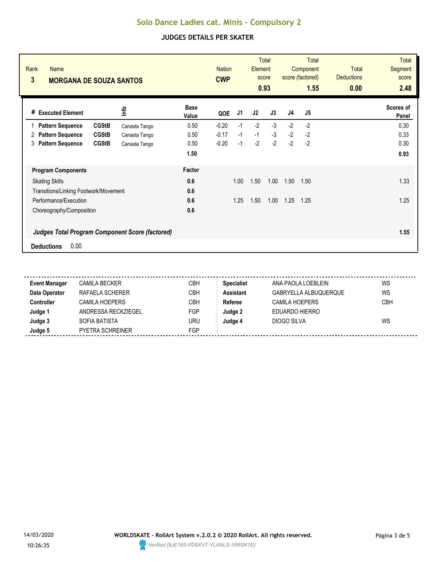| Rank<br><b>Name</b><br>3<br><b>MORGANA DE SOUZA SANTOS</b> |               |                      | <b>Nation</b><br><b>CWP</b> |      | <b>Element</b><br>score | <b>Total</b><br>0.93 |      | <b>Total</b><br>Component<br>score (factored)<br>1.55 | <b>Total</b><br><b>Deductions</b><br>0.00 | <b>Total</b><br>Segment<br>score<br>2.48 |
|------------------------------------------------------------|---------------|----------------------|-----------------------------|------|-------------------------|----------------------|------|-------------------------------------------------------|-------------------------------------------|------------------------------------------|
| # Executed Element                                         | lnfo          | <b>Base</b><br>Value | QOE                         | J1   | J2                      | J3                   | J4   | J5                                                    |                                           | Scores of<br>Panel                       |
| <b>CGStB</b><br><b>Pattern Sequence</b>                    | Canasta Tango | 0.50                 | $-0.20$                     | $-1$ | $-2$                    | $-3$                 | $-2$ | $-2$                                                  |                                           | 0.30                                     |
| <b>CGStB</b><br><b>Pattern Sequence</b><br>2               | Canasta Tango | 0.50                 | $-0.17$                     | $-1$ | $-1$                    | $-3$                 | $-2$ | $-2$                                                  |                                           | 0.33                                     |
| <b>CGStB</b><br><b>Pattern Sequence</b><br>3               | Canasta Tango | 0.50                 | $-0.20$                     | $-1$ | $-2$                    | $-2$                 | $-2$ | $-2$                                                  |                                           | 0.30                                     |
|                                                            |               | 1.50                 |                             |      |                         |                      |      |                                                       |                                           | 0.93                                     |
| <b>Program Components</b>                                  |               | Factor               |                             |      |                         |                      |      |                                                       |                                           |                                          |
| <b>Skating Skills</b>                                      |               | 0.6                  |                             | 1.00 | 1.50                    | 1.00                 | 1.50 | 1.50                                                  |                                           | 1.33                                     |
| Transitions/Linking Footwork/Movement                      |               | 0.6                  |                             |      |                         |                      |      |                                                       |                                           |                                          |
| Performance/Execution                                      |               | 0.6                  |                             | 1.25 | 1.50                    | 1.00                 | 1.25 | 1.25                                                  |                                           | 1.25                                     |
| Choreography/Composition                                   |               | 0.6                  |                             |      |                         |                      |      |                                                       |                                           |                                          |
| <b>Judges Total Program Component Score (factored)</b>     |               |                      |                             |      |                         |                      |      |                                                       |                                           | 1.55                                     |
| 0.00<br><b>Deductions</b>                                  |               |                      |                             |      |                         |                      |      |                                                       |                                           |                                          |

| <b>Event Manager</b> | <b>CAMILA BECKER</b>    | СВН        | <b>Specialist</b> | ANA PAOLA LOEBLEIN    | WS         |
|----------------------|-------------------------|------------|-------------------|-----------------------|------------|
| Data Operator        | RAFAELA SCHERER         | <b>CBH</b> | <b>Assistant</b>  | GABRYELLA ALBUQUERQUE | WS         |
| <b>Controller</b>    | <b>CAMILA HOEPERS</b>   | СВН        | Referee           | CAMILA HOEPERS        | <b>CBH</b> |
| Judge 1              | ANDRESSA RECKZIEGEL     | FGP        | Judge 2           | EDUARDO HIERRO        |            |
| Judge 3              | SOFIA BATISTA           | uru        | Judge 4           | DIOGO SILVA           | WS         |
| Judge 5              | <b>PYETRA SCHREINER</b> | FGP        |                   |                       |            |
|                      |                         |            |                   |                       |            |

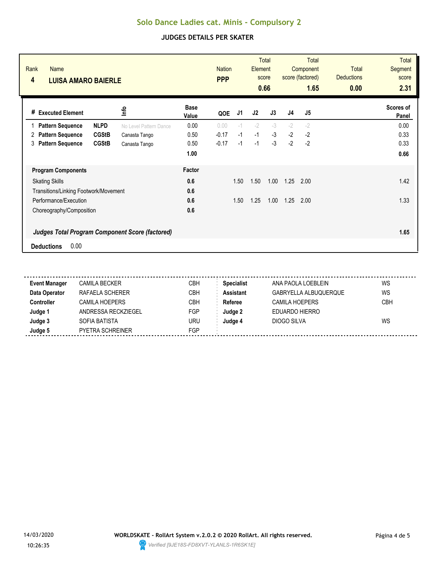| Rank<br><b>Name</b><br>4<br><b>LUISA AMARO BAIERLE</b> |              |                        | <b>Nation</b><br><b>PPP</b> |         |      | <b>Total</b><br>Element<br>score<br>0.66 |      | <b>Total</b><br>Component<br>score (factored)<br>1.65 | Total<br><b>Deductions</b><br>0.00 | <b>Total</b><br>Segment<br>score<br>2.31 |                           |
|--------------------------------------------------------|--------------|------------------------|-----------------------------|---------|------|------------------------------------------|------|-------------------------------------------------------|------------------------------------|------------------------------------------|---------------------------|
| <b>Executed Element</b><br>#                           |              | lnfo                   | <b>Base</b><br>Value        | QOE     | J1   | J2                                       | J3   | J <sub>4</sub>                                        | J <sub>5</sub>                     |                                          | <b>Scores of</b><br>Panel |
| <b>Pattern Sequence</b><br>1                           | <b>NLPD</b>  | No Level Pattern Dance | 0.00                        | 0.00    | $-1$ | $-2$                                     | $-3$ | $-2$                                                  | $-2$                               |                                          | 0.00                      |
| <b>Pattern Sequence</b><br>2                           | <b>CGStB</b> | Canasta Tango          | 0.50                        | $-0.17$ | $-1$ | $-1$                                     | $-3$ | $-2$                                                  | $-2$                               |                                          | 0.33                      |
| <b>Pattern Sequence</b><br>3                           | <b>CGStB</b> | Canasta Tango          | 0.50                        | $-0.17$ | $-1$ | $-1$                                     | $-3$ | $-2$                                                  | $-2$                               |                                          | 0.33                      |
|                                                        |              |                        | 1.00                        |         |      |                                          |      |                                                       |                                    |                                          | 0.66                      |
| <b>Program Components</b>                              |              |                        | Factor                      |         |      |                                          |      |                                                       |                                    |                                          |                           |
| <b>Skating Skills</b>                                  |              |                        | 0.6                         |         | 1.50 | 1.50                                     | 1.00 | 1.25                                                  | 2.00                               |                                          | 1.42                      |
| Transitions/Linking Footwork/Movement                  |              |                        | 0.6                         |         |      |                                          |      |                                                       |                                    |                                          |                           |
| Performance/Execution                                  |              |                        | 0.6                         |         | 1.50 | 1.25                                     | 1.00 | 1.25                                                  | 2.00                               |                                          | 1.33                      |
| Choreography/Composition                               |              |                        | 0.6                         |         |      |                                          |      |                                                       |                                    |                                          |                           |
| <b>Judges Total Program Component Score (factored)</b> |              |                        |                             |         |      |                                          |      |                                                       |                                    |                                          | 1.65                      |
| 0.00<br><b>Deductions</b>                              |              |                        |                             |         |      |                                          |      |                                                       |                                    |                                          |                           |

| <b>Event Manager</b> | <b>CAMILA BECKER</b>  | CBH        | <b>Specialist</b> | ANA PAOLA LOEBLEIN    | WS  |
|----------------------|-----------------------|------------|-------------------|-----------------------|-----|
| Data Operator        | RAFAELA SCHERER       | <b>CBH</b> | <b>Assistant</b>  | GABRYELLA ALBUQUERQUE | WS  |
| <b>Controller</b>    | <b>CAMILA HOEPERS</b> | CBH        | Referee           | CAMILA HOEPERS        | CBH |
| Judge 1              | ANDRESSA RECKZIEGEL   | FGP        | Judge 2           | EDUARDO HIERRO        |     |
| Judge 3              | SOFIA BATISTA         | uru        | Judge 4           | DIOGO SILVA           | WS  |
| Judge 5              | PYETRA SCHREINER      | FGP        |                   |                       |     |
|                      |                       |            |                   |                       |     |